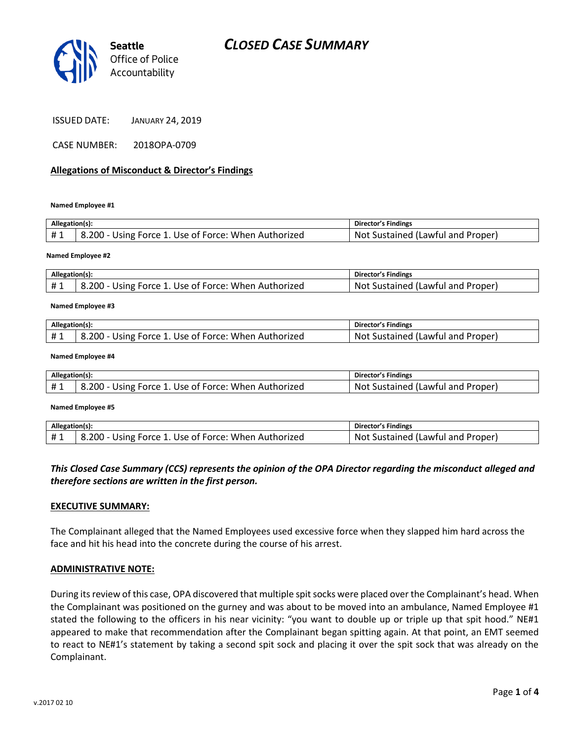



| <b>JANUARY 24, 2019</b> |
|-------------------------|
|                         |

CASE NUMBER: 2018OPA-0709

#### **Allegations of Misconduct & Director's Findings**

**Named Employee #1**

| Allegation(s): |                                                      | Director's Findings               |
|----------------|------------------------------------------------------|-----------------------------------|
| #1             | 8.200 - Using Force 1. Use of Force: When Authorized | Not Sustained (Lawful and Proper) |
|                |                                                      |                                   |

**Named Employee #2**

| Allegation(s): |                                                      | Director's Findings               |
|----------------|------------------------------------------------------|-----------------------------------|
|                | 8.200 - Using Force 1. Use of Force: When Authorized | Not Sustained (Lawful and Proper) |

#### **Named Employee #3**

| Allegation(s): |                                                      | <b>Director's Findings</b>        |
|----------------|------------------------------------------------------|-----------------------------------|
|                | 8.200 - Using Force 1. Use of Force: When Authorized | Not Sustained (Lawful and Proper) |

#### **Named Employee #4**

| Allegation(s): |                                                      | Director's Findings               |
|----------------|------------------------------------------------------|-----------------------------------|
| #1             | 8.200 - Using Force 1. Use of Force: When Authorized | Not Sustained (Lawful and Proper) |
|                |                                                      |                                   |

#### **Named Employee #5**

| Allegation(s): |                                                      | Director's Findings               |
|----------------|------------------------------------------------------|-----------------------------------|
|                | 8.200 - Using Force 1. Use of Force: When Authorized | Not Sustained (Lawful and Proper) |

## *This Closed Case Summary (CCS) represents the opinion of the OPA Director regarding the misconduct alleged and therefore sections are written in the first person.*

#### **EXECUTIVE SUMMARY:**

The Complainant alleged that the Named Employees used excessive force when they slapped him hard across the face and hit his head into the concrete during the course of his arrest.

#### **ADMINISTRATIVE NOTE:**

During its review of this case, OPA discovered that multiple spit socks were placed over the Complainant's head. When the Complainant was positioned on the gurney and was about to be moved into an ambulance, Named Employee #1 stated the following to the officers in his near vicinity: "you want to double up or triple up that spit hood." NE#1 appeared to make that recommendation after the Complainant began spitting again. At that point, an EMT seemed to react to NE#1's statement by taking a second spit sock and placing it over the spit sock that was already on the Complainant.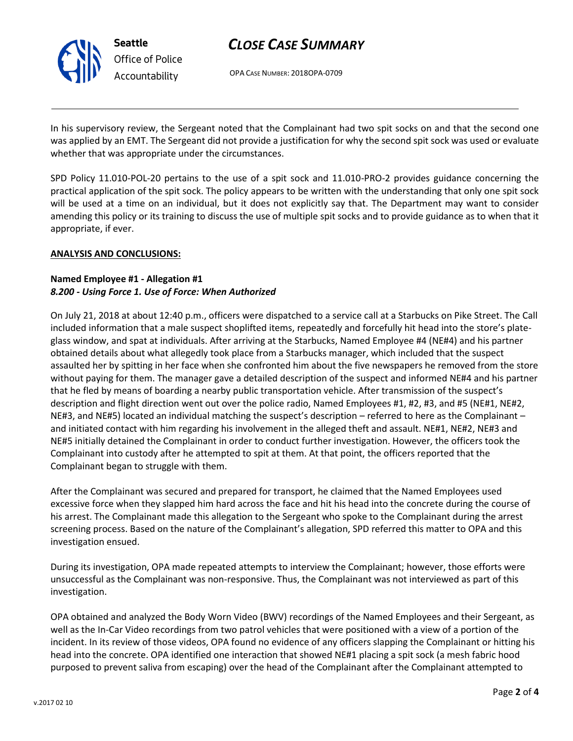# *CLOSE CASE SUMMARY*

OPA CASE NUMBER: 2018OPA-0709

In his supervisory review, the Sergeant noted that the Complainant had two spit socks on and that the second one was applied by an EMT. The Sergeant did not provide a justification for why the second spit sock was used or evaluate whether that was appropriate under the circumstances.

SPD Policy 11.010-POL-20 pertains to the use of a spit sock and 11.010-PRO-2 provides guidance concerning the practical application of the spit sock. The policy appears to be written with the understanding that only one spit sock will be used at a time on an individual, but it does not explicitly say that. The Department may want to consider amending this policy or its training to discuss the use of multiple spit socks and to provide guidance as to when that it appropriate, if ever.

## **ANALYSIS AND CONCLUSIONS:**

## **Named Employee #1 - Allegation #1** *8.200 - Using Force 1. Use of Force: When Authorized*

On July 21, 2018 at about 12:40 p.m., officers were dispatched to a service call at a Starbucks on Pike Street. The Call included information that a male suspect shoplifted items, repeatedly and forcefully hit head into the store's plateglass window, and spat at individuals. After arriving at the Starbucks, Named Employee #4 (NE#4) and his partner obtained details about what allegedly took place from a Starbucks manager, which included that the suspect assaulted her by spitting in her face when she confronted him about the five newspapers he removed from the store without paying for them. The manager gave a detailed description of the suspect and informed NE#4 and his partner that he fled by means of boarding a nearby public transportation vehicle. After transmission of the suspect's description and flight direction went out over the police radio, Named Employees #1, #2, #3, and #5 (NE#1, NE#2, NE#3, and NE#5) located an individual matching the suspect's description – referred to here as the Complainant – and initiated contact with him regarding his involvement in the alleged theft and assault. NE#1, NE#2, NE#3 and NE#5 initially detained the Complainant in order to conduct further investigation. However, the officers took the Complainant into custody after he attempted to spit at them. At that point, the officers reported that the Complainant began to struggle with them.

After the Complainant was secured and prepared for transport, he claimed that the Named Employees used excessive force when they slapped him hard across the face and hit his head into the concrete during the course of his arrest. The Complainant made this allegation to the Sergeant who spoke to the Complainant during the arrest screening process. Based on the nature of the Complainant's allegation, SPD referred this matter to OPA and this investigation ensued.

During its investigation, OPA made repeated attempts to interview the Complainant; however, those efforts were unsuccessful as the Complainant was non-responsive. Thus, the Complainant was not interviewed as part of this investigation.

OPA obtained and analyzed the Body Worn Video (BWV) recordings of the Named Employees and their Sergeant, as well as the In-Car Video recordings from two patrol vehicles that were positioned with a view of a portion of the incident. In its review of those videos, OPA found no evidence of any officers slapping the Complainant or hitting his head into the concrete. OPA identified one interaction that showed NE#1 placing a spit sock (a mesh fabric hood purposed to prevent saliva from escaping) over the head of the Complainant after the Complainant attempted to



**Seattle** *Office of Police Accountability*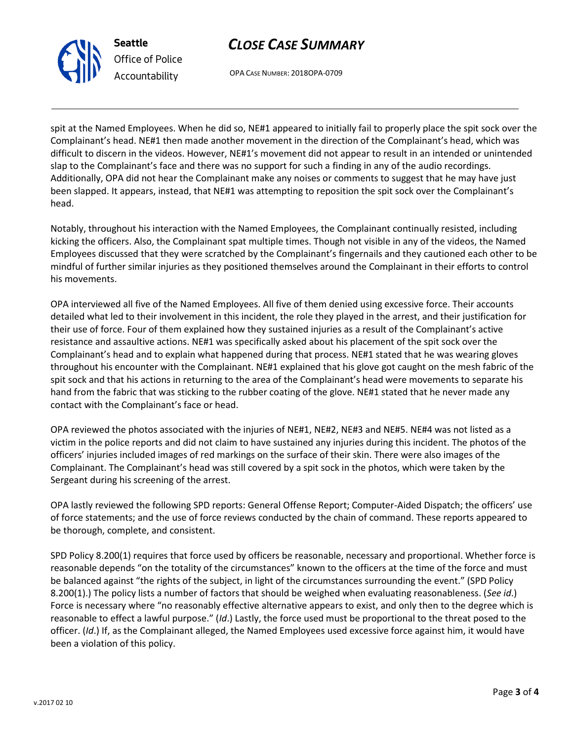

OPA CASE NUMBER: 2018OPA-0709

**Seattle** *Office of Police Accountability*

spit at the Named Employees. When he did so, NE#1 appeared to initially fail to properly place the spit sock over the Complainant's head. NE#1 then made another movement in the direction of the Complainant's head, which was difficult to discern in the videos. However, NE#1's movement did not appear to result in an intended or unintended slap to the Complainant's face and there was no support for such a finding in any of the audio recordings. Additionally, OPA did not hear the Complainant make any noises or comments to suggest that he may have just been slapped. It appears, instead, that NE#1 was attempting to reposition the spit sock over the Complainant's head.

Notably, throughout his interaction with the Named Employees, the Complainant continually resisted, including kicking the officers. Also, the Complainant spat multiple times. Though not visible in any of the videos, the Named Employees discussed that they were scratched by the Complainant's fingernails and they cautioned each other to be mindful of further similar injuries as they positioned themselves around the Complainant in their efforts to control his movements.

OPA interviewed all five of the Named Employees. All five of them denied using excessive force. Their accounts detailed what led to their involvement in this incident, the role they played in the arrest, and their justification for their use of force. Four of them explained how they sustained injuries as a result of the Complainant's active resistance and assaultive actions. NE#1 was specifically asked about his placement of the spit sock over the Complainant's head and to explain what happened during that process. NE#1 stated that he was wearing gloves throughout his encounter with the Complainant. NE#1 explained that his glove got caught on the mesh fabric of the spit sock and that his actions in returning to the area of the Complainant's head were movements to separate his hand from the fabric that was sticking to the rubber coating of the glove. NE#1 stated that he never made any contact with the Complainant's face or head.

OPA reviewed the photos associated with the injuries of NE#1, NE#2, NE#3 and NE#5. NE#4 was not listed as a victim in the police reports and did not claim to have sustained any injuries during this incident. The photos of the officers' injuries included images of red markings on the surface of their skin. There were also images of the Complainant. The Complainant's head was still covered by a spit sock in the photos, which were taken by the Sergeant during his screening of the arrest.

OPA lastly reviewed the following SPD reports: General Offense Report; Computer-Aided Dispatch; the officers' use of force statements; and the use of force reviews conducted by the chain of command. These reports appeared to be thorough, complete, and consistent.

SPD Policy 8.200(1) requires that force used by officers be reasonable, necessary and proportional. Whether force is reasonable depends "on the totality of the circumstances" known to the officers at the time of the force and must be balanced against "the rights of the subject, in light of the circumstances surrounding the event." (SPD Policy 8.200(1).) The policy lists a number of factors that should be weighed when evaluating reasonableness. (*See id*.) Force is necessary where "no reasonably effective alternative appears to exist, and only then to the degree which is reasonable to effect a lawful purpose." (*Id*.) Lastly, the force used must be proportional to the threat posed to the officer. (*Id*.) If, as the Complainant alleged, the Named Employees used excessive force against him, it would have been a violation of this policy.